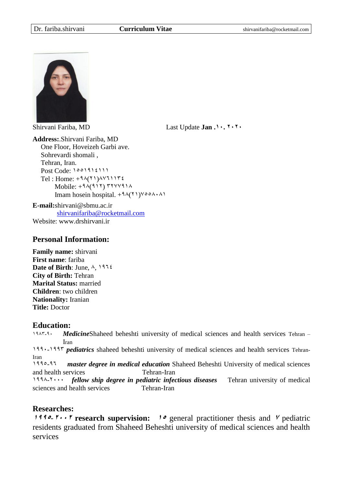

Shirvani Fariba, MD Last Update **Jan .01. 0101**

**Address:**.Shirvani Fariba, MD One Floor, Hoveizeh Garbi ave. Sohrevardi shomali , Tehran, Iran. Post Code:  $1001915111$ Tel : Home:  $+9\lambda(Y)$  $\lambda$ YJ) $17i$ Mobile:  $+9\lambda(911)$   $\mu$   $\mu$   $\lambda$ Imam hosein hospital.  $+9\lambda(Y)$ <sup>y</sup>

**E-mail:**shirvani@sbmu.ac.ir [shirvanifariba@rocketmail.com](mailto:shirvanifariba@rocketmail.com) Website: www.drshirvani.ir

### **Personal Information:**

**Family name:** shirvani **First name**: fariba **Date of Birth:** June,  $\lambda$ , 1912 **City of Birth:** Tehran **Marital Status:** married **Children**: two children **Nationality:** Iranian **Title:** Doctor

### **Education:**

1947-9. *Medicine*Shaheed beheshti university of medical sciences and health services Tehran – Iran

1995-1997 *pediatrics* shaheed beheshti university of medical sciences and health services Tehran-Iran

1995-91 *master degree in medical education* Shaheed Beheshti University of medical sciences and health services Tehran-Iran

1999-1555 *fellow ship degree in pediatric infectious diseases* Tehran university of medical sciences and health services Tehran-Iran

# **Researches:**

**1992.**  $\mathbf{r} \cdot \mathbf{r}$  research supervision: **10** general practitioner thesis and *V* pediatric residents graduated from Shaheed Beheshti university of medical sciences and health services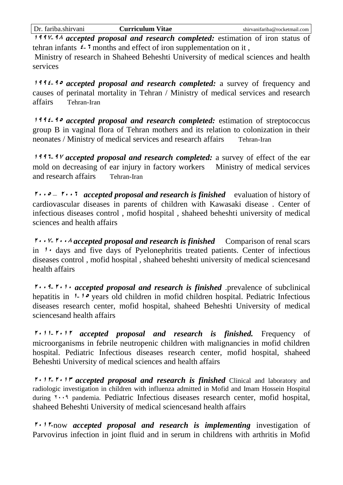**<sup>0997</sup>**-**<sup>99</sup>** *accepted proposal and research completed:* estimation of iron status of tehran infants  $\epsilon$ -**<sup>1</sup>** months and effect of iron supplementation on it,

Ministry of research in Shaheed Beheshti University of medical sciences and health services

**<sup>0994</sup>**-**<sup>91</sup>** *accepted proposal and research completed:* a survey of frequency and causes of perinatal mortality in Tehran / Ministry of medical services and research affairs Tehran-Iran

**<sup>0994</sup>**-**<sup>91</sup>** *accepted proposal and research completed:* estimation of streptococcus group B in vaginal flora of Tehran mothers and its relation to colonization in their neonates / Ministry of medical services and research affairs Tehran-Iran

**1995-97 accepted proposal and research completed:** a survey of effect of the ear mold on decreasing of ear injury in factory workers Ministry of medical services and research affairs Tehran-Iran

**1...**  $\bullet$  *1...* **T** *accepted proposal and research is finished* evaluation of history of cardiovascular diseases in parents of children with Kawasaki disease . Center of infectious diseases control , mofid hospital , shaheed beheshti university of medical sciences and health affairs

 $\mathbf{0} \cdot \mathbf{0} \cdot \mathbf{0}$  *P.*  $\cdot \mathbf{0} \cdot \mathbf{0}$  *are proposal and research is finished* Comparison of renal scars in  $\cdot$  days and five days of Pyelonephritis treated patients. Center of infectious diseases control , mofid hospital , shaheed beheshti university of medical sciencesand health affairs

 $\mathbf{0} \cdot \mathbf{0}$ -1. **1.** *accepted proposal and research is finished* .prevalence of subclinical hepatitis in  $\theta$ - $\theta$  years old children in mofid children hospital. Pediatric Infectious diseases research center, mofid hospital, shaheed Beheshti University of medical sciencesand health affairs

**<sup>0100</sup>**-**<sup>0100</sup>** *accepted proposal and research is finished.* Frequency of microorganisms in febrile neutropenic children with malignancies in mofid children hospital. Pediatric Infectious diseases research center, mofid hospital, shaheed Beheshti University of medical sciences and health affairs

**<sup>0100</sup>**-**<sup>0102</sup>** *accepted proposal and research is finished* Clinical and laboratory and radiologic investigation in children with influenza admitted in Mofid and Imam Hossein Hospital during  $1.9$  pandemia. Pediatric Infectious diseases research center, mofid hospital, shaheed Beheshti University of medical sciencesand health affairs

**<sup>0100</sup>**-now *accepted proposal and research is implementing* investigation of Parvovirus infection in joint fluid and in serum in childrens with arthritis in Mofid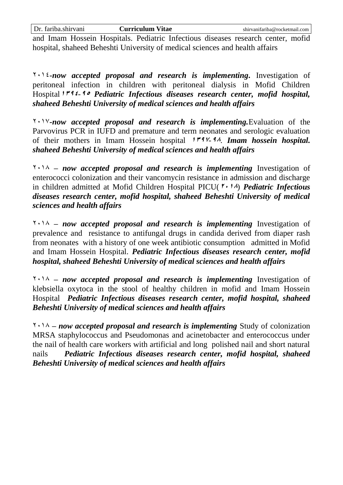and Imam Hossein Hospitals. Pediatric Infectious diseases research center, mofid hospital, shaheed Beheshti University of medical sciences and health affairs

 $1511$ -now accepted proposal and research is implementing. Investigation of peritoneal infection in children with peritoneal dialysis in Mofid Children Hospital<sup>1 r 4</sup>  $\epsilon$ - <sup>4</sup> *Pediatric Infectious diseases research center, mofid hospital, shaheed Beheshti University of medical sciences and health affairs*

1513*-now accepted proposal and research is implementing.*Evaluation of the Parvovirus PCR in IUFD and premature and term neonates and serologic evaluation of their mothers in Imam Hossein hospital **0297**-**99**. *Imam hossein hospital. shaheed Beheshti University of medical sciences and health affairs*

1519 *– now accepted proposal and research is implementing* Investigation of enterococci colonization and their vancomycin resistance in admission and discharge in children admitted at Mofid Children Hospital PICU( $\mathbf{f} \cdot \mathbf{1}$ *A*) *Pediatric Infectious diseases research center, mofid hospital, shaheed Beheshti University of medical sciences and health affairs*

1519 *– now accepted proposal and research is implementing* Investigation of prevalence and resistance to antifungal drugs in candida derived from diaper rash from neonates with a history of one week antibiotic consumption admitted in Mofid and Imam Hossein Hospital. *Pediatric Infectious diseases research center, mofid hospital, shaheed Beheshti University of medical sciences and health affairs*

1519 *– now accepted proposal and research is implementing* Investigation of klebsiella oxytoca in the stool of healthy children in mofid and Imam Hossein Hospital *Pediatric Infectious diseases research center, mofid hospital, shaheed Beheshti University of medical sciences and health affairs*

1519 *– now accepted proposal and research is implementing* Study of colonization MRSA staphylococcus and Pseudomonas and acinetobacter and enterococcus under the nail of health care workers with artificial and long polished nail and short natural nails *Pediatric Infectious diseases research center, mofid hospital, shaheed Beheshti University of medical sciences and health affairs*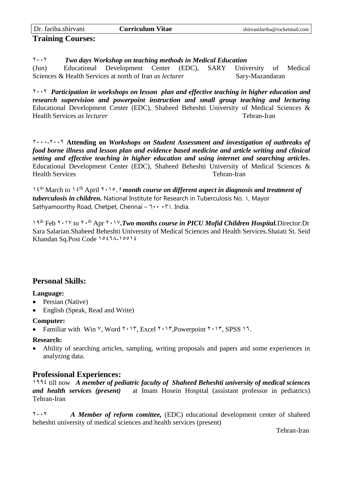| Dr. fariba.shirvani      | Curriculum Vitae | shirvanifariba@rocketmail.com |
|--------------------------|------------------|-------------------------------|
| <b>Training Courses:</b> |                  |                               |

1551 *Two days Workshop on teaching methods in Medical Education*

(Jun) Educational Development Center (EDC), SARY University of Medical Sciences & Health Services at north of Iran *as lecturer* Sary-Mazandaran

1551 *Participation in workshops on lesson plan and effective teaching in higher education and research supervision and powerpoint instruction and small group teaching and lecturing* Educational Development Center (EDC), Shaheed Beheshti University of Medical Sciences & Health Services *as lecturer* Tehran-Iran

1555-1551 **Attending on** *Workshops on Student Assessment and investigation of outbreaks of food borne illness and lesson plan and evidence based medicine and article writing and clinical setting and effective teaching in higher education and using internet and searching articles.* Educational Development Center (EDC), Shaheed Beheshti University of Medical Sciences & Health Services Tehran-Iran

1<sup>2th</sup> March to 1<sup>2th</sup> April 1505. *I* month course on different aspect in diagnosis and treatment of *tuberculosis in children.* National Institute for Research in Tuberculosis No. 1, Mayor Sathyamoorthy Road, Chetpet, Chennai –  $1 \cdots$  1. India.

19<sup>th</sup> Feb <sup>1</sup> · 1<sup>V</sup> to <sup>1</sup> · <sup>th</sup> Apr <sup>1</sup> · 1<sup>V</sup>. Two months course in PICU Mofid Children Hospital. Director: Dr Sara Salarian.Shaheed Beheshti University of Medical Sciences and Health Services.Shaiati St. Seid Khandan Sq.Post Code 10271-10012

# **Personal Skills:**

### **Language:**

- Persian (Native)
- English (Speak, Read and Write)

### **Computer:**

Familiar with Win  $\vee$ , Word  $\vee$ , I', Excel  $\vee$ ,  $\vee$ , Powerpoint  $\vee$ ,  $\vee$ , SPSS  $\vee$ .

#### **Research:**

 Ability of searching articles, sampling, writing proposals and papers and some experiences in analyzing data.

### **Professional Experiences:**

1991 till now *A member of pediatric faculty of Shaheed Beheshti university of medical sciences and health services (present)* at Imam Hosein Hospital (assistant professor in pediatrics) Tehran-Iran

1551 *A Member of reform comittee,* (EDC) educational development center of shaheed beheshti university of medical sciences and health services (present)

Tehran-Iran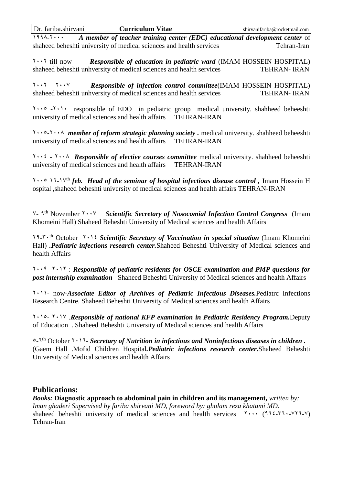1999-1555 *A member of teacher training center (EDC) educational development center* of shaheed beheshti university of medical sciences and health services Tehran-Iran

1551 till now *Responsible of education in pediatric ward* (IMAM HOSSEIN HOSPITAL) shaheed beheshti unhversity of medical sciences and health services TEHRAN- IRAN

1.15 - 1.14 **Responsible of infection control committee**(IMAM HOSSEIN HOSPITAL)<br>shaheed beheshti unhversity of medical sciences and health services **TEHRAN-IRAN** shaheed beheshti unhversity of medical sciences and health services

1555 -1515 responsible of EDO in pediatric group medical university. shahheed beheeshti university of medical sciences and health affairs TEHRAN-IRAN

1555-1559 *member of reform strategic planning society .* medical university. shahheed beheeshti university of medical sciences and health affairs TEHRAN-IRAN

1551 - 1559 *Responsible of elective courses committee* medical university. shahheed beheeshti university of medical sciences and health affairs TEHRAN-IRAN

1555 11-13th *feb. Head of the seminar of hospital infectious disease control ,* Imam Hossein H ospital ,shaheed beheshti university of medical sciences and health affairs TEHRAN-IRAN

V- 9<sup>th</sup> November *Y* · · *V Scientific Secretary of Nosocomial Infection Control Congress* (Imam Khomeini Hall) Shaheed Beheshti University of Medical sciences and health Affairs

19-75th October 1511 *Scientific Secretary of Vaccination in special situation* (Imam Khomeini Hall) *.Pediatric infections research center.*Shaheed Beheshti University of Medical sciences and health Affairs

1559 -1511 : *Responsible of pediatric residents for OSCE examination and PMP questions for post internship examination* Shaheed Beheshti University of Medical sciences and health Affairs

1511- now-*Associate Editor of Archives of Pediatric Infectious Diseases.*Pediatrc Infections Research Centre. Shaheed Beheshti University of Medical sciences and health Affairs

1515- 1513 .*Responsible of national KFP examination in Pediatric Residency Program.*Deputy of Education . Shaheed Beheshti University of Medical sciences and health Affairs

<sup>0</sup>-1<sup>th</sup> October *1* · 11- *Secretary of Nutrition in infectious and Noninfectious diseases in children*. (Gaem Hall .Mofid Children Hospital*.Pediatric infections research center.*Shaheed Beheshti University of Medical sciences and health Affairs

### **Publications:**

*Books:* **Diagnostic approach to abdominal pain in children and its management,** *written by: Iman ghaderi Supervised by fariba shirvani MD, foreword by: gholam reza khatami MD.* shaheed beheshti university of medical sciences and health services  $\cdots$  (9111-715-415-4) Tehran-Iran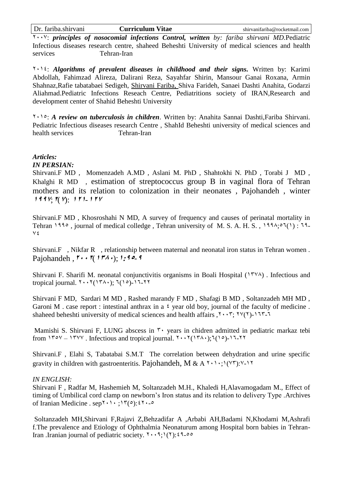1553: *principles of nosocomial infections Control, written by: fariba shirvani MD.*Pediatric Infectious diseases research centre, shaheed Beheshti University of medical sciences and health services Tehran-Iran

1511: *Algorithms of prevalent diseases in childhood and their signs.* Written by: Karimi Abdollah, Fahimzad Alireza, Dalirani Reza, Sayahfar Shirin, Mansour Ganai Roxana, Armin Shahnaz,Rafie tabatabaei Sedigeh, Shirvani Fariba, Shiva Farideh, Sanaei Dashti Anahita, Godarzi Aliahmad.Pediatric Infections Reseach Centre, Pediatritions society of IRAN,Research and development center of Shahid Beheshti University

1515: *A review on tuberculosis in children*. Written by: Anahita Sannai Dashti,Fariba Shirvani. Pediatric Infectious diseases research Centre , ShahId Beheshti university of medical sciences and health services Tehran-Iran

### *Articles:*

### *IN PERSIAN:*

Shirvani.F MD , Momenzadeh A.MD , Aslani M. PhD , Shahtokhi N. PhD , Torabi J MD , Khalghi R MD , estimation of streptococcus group B in vaginal flora of Tehran mothers and its relation to colonization in their neonates , Pajohandeh , winter **<sup>0997</sup>**;**0**(**7**): **000**-**<sup>007</sup>**

Shirvani.F MD , Khosroshahi N MD, A survey of frequency and causes of perinatal mortality in Tehran 1990, journal of medical colledge, Tehran university of M. S. A. H. S., 1994; $\circ$ 7(1): 79- $V\epsilon$ 

Shirvani.F , Nikfar R , relationship between maternal and neonatal iron status in Tehran women . Pajohandeh  $, \mathbf{v} \cdot \mathbf{v} \cdot (\mathbf{v} \cdot \mathbf{v})$ ; 1:40-9

Shirvani F. Sharifi M. neonatal conjunctivitis organisms in Boali Hospital  $(17\vee\wedge)$ . Infectious and tropical journal.  $Y \cdot Y(Y \wedge Y; Z(Y \circ Y) - Y \vee Z)$ 

Shirvani F MD, Sardari M MD , Rashed marandy F MD , Shafagi B MD , Soltanzadeh MH MD , Garoni M . case report : intestinal anthrax in a  $\frac{1}{2}$  year old boy, journal of the faculty of medicine. shaheed beheshti university of medical sciences and health affairs ,  $Y \cdot Y$ ;  $Y \vee (Y)$ -117-1

Mamishi S. Shirvani F, LUNG abscess in  $\mathbf{r}$  vears in chidren admitted in pediatric markaz tebi from  $170y - 17xy$ . Infectious and tropical journal.  $5.51(174)$ ;  $7(19) - 17.51$ 

Shirvani.F , Elahi S, Tabatabai S.M.T The correlation between dehydration and urine specific gravity in children with gastroenteritis. Pajohandeh, M & A  $\gamma$ ,  $\gamma$ ,  $(\gamma \gamma)$ : $\gamma$ -11

#### *IN ENGLISH:*

Shirvani F , Radfar M, Hashemieh M, Soltanzadeh M.H., Khaledi H,Alavamogadam M., Effect of timing of Umbilical cord clamp on newborn's Iron status and its relation to delivery Type .Archives of Iranian Medicine . sep $\mathbf{Y} \cdot \mathbf{Y}$ ;  $\mathbf{Y}(\circ): \mathbf{Y} \cdot \mathbf{S}$ 

Soltanzadeh MH,Shirvani F,Rajavi Z,Behzadifar A ,Arbabi AH,Badami N,Khodami M,Ashrafi f.The prevalence and Etiology of Ophthalmia Neonaturum among Hospital born babies in Tehran-Iran .Iranian journal of pediatric society.  $\mathbf{Y} \cdot \mathbf{S} \cdot \mathbf{S}$  ( $\mathbf{Y}$ ):  $\mathbf{S} \cdot \mathbf{S}$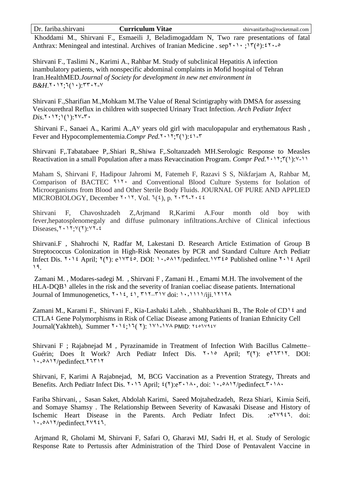Khoddami M., Shirvani F., Esmaeili J, Beladimogaddam N, Two rare presentations of fatal Anthrax: Meningeal and intestinal. Archives of Iranian Medicine . sep<sup>{\t}</sup>\;<sup>1}</sup>( $\circ$ ):<sup>2}</sup>...

Shirvani F., Taslimi N., Karimi A., Rahbar M. Study of subclinical Hepatitis A infection inambulatory patients, with nonspecific abdominal complaints in Mofid hospital of Tehran Iran.HealthMED*.Journal of Society for development in new net environment in*   $B\&H$ .<sup>1</sup> $\cdot$ 17;<sup>1</sup>(1 $\cdot$ ): $\tau$ r $\cdot$ 1-Y

Shirvani F.,Sharifian M.,Mohkam M.The Value of Renal Scintigraphy with DMSA for assessing Vesicourethral Reflux in children with suspected Urinary Tract Infection*. Arch Pediatr Infect*   $Dis.7 \cdot 17$ ;  $(1)$ :  $7 \vee -7 \cdot$ 

Shirvani F., Sanaei A., Karimi A., A<sup>V</sup> years old girl with maculopapular and erythematous Rash, Fever and Hypocomplementemia.*Compr Ped.*<sup>2</sup>  $\cdot$  <sup>1</sup> $\cdot$ <sup>7</sup> $\cdot$ <sup>0</sup>):<sup>2</sup>  $\cdot$ <sup>7</sup>

Shirvani F,.Tabatabaee P,.Shiari R,.Shiwa F,.Soltanzadeh MH.Serologic Response to Measles Reactivation in a small Population after a mass Revaccination Program. *Compr Ped.*<sup>2</sup> (1):<sup>V</sup>-11

Maham S, Shirvani F, Hadipour Jahromi M, Fatemeh F, Razavi S S, Nikfarjam A, Rahbar M, Comparison of BACTEC 911. and Conventional Blood Culture Systems for Isolation of Microorganisms from Blood and Other Sterile Body Fluids. JOURNAL OF PURE AND APPLIED MICROBIOLOGY, December  $\mathbf{1} \cdot \mathbf{1}$ . Vol.  $\mathbf{1}(2)$ , p.  $\mathbf{1} \cdot \mathbf{1} \cdot \mathbf{1} \cdot \mathbf{1}$ 

Shirvani F, Chavoshzadeh Z,Arjmand R,Karimi A.Four month old boy with fever,hepatosplenomegaly and diffuse pulmonary infiltrations.Archive of Clinical infectious Diseases,  $Y \cdot Y$ ; $Y(Y)$ : $YY - 2$ 

Shirvani.F , Shahrochi N, Radfar M, Lakestani D. Research Article Estimation of Group B Streptococcus Colonization in High-Risk Neonates by PCR and Standard Culture Arch Pediatr Infect Dis.  $1 \cdot 16$  April;  $1(1)$ : e<sup>144</sup> $0$ . DOI:  $1 \cdot 100$   $11 \cdot 100$   $11$ 19.

Zamani M. , Modares-sadegi M. , Shirvani F , Zamani H. , Emami M.H. The involvement of the HLA-DQB<sup>1</sup> alleles in the risk and the severity of Iranian coeliac disease patients. International Journal of Immunogenetics, 1511, 11, 711–713 doi: 1581111/iji.11119

Zamani M., Karami F., Shirvani F., Kia-Lashaki Laleh., Shahbazkhani B., The Role of CD<sup>12</sup> and  $CTLA$ <sup>2</sup> Gene Polymorphisms in Risk of Celiac Disease among Patients of Iranian Ethnicity Cell Journal(Yakhteh), Summer 1112;17(1): 111-114 PMID: 11071414

Shirvani F ; Rajabnejad M , Pyrazinamide in Treatment of Infection With Bacillus Calmette– Guérin; Does It Work? Arch Pediatr Infect Dis.  $\zeta \cdot 10^{\circ}$  April;  $\zeta(\zeta)$ : e<sup>t T T</sup><sup>11</sup>. DOI: 1.,  $0 \wedge 17$ /pedinfect. 17711

Shirvani, F, Karimi A Rajabnejad, M, BCG Vaccination as a Prevention Strategy, Threats and Benefits. Arch Pediatr Infect Dis.  $1 \cdot 12$  April;  $2(1) \cdot 12 \cdot 16 \cdot 16 \cdot 16 \cdot 1601$ 

Fariba Shirvani, , Sasan Saket, Abdolah Karimi, Saeed Mojtahedzadeh, Reza Shiari, Kimia Seifi, and Somaye Shamsy . The Relationship Between Severity of Kawasaki Disease and History of Ischemic Heart Disease in the Parents. Arch Pediatr Infect Dis. :e<sup>YV927</sup>. doi: 1.,  $0$ 117/pedinfect.<sup>1</sup>Y927.

Arjmand R, Gholami M, Shirvani F, Safari O, Gharavi MJ, Sadri H, et al. Study of Serologic Response Rate to Pertussis after Administration of the Third Dose of Pentavalent Vaccine in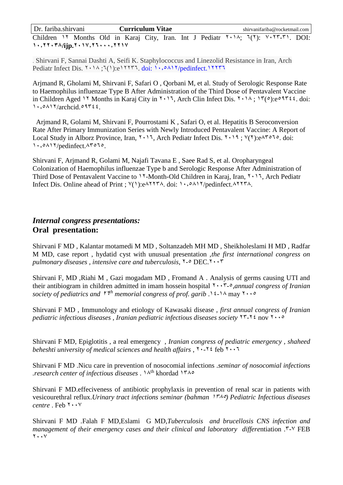Children 11 Months Old in Karaj City, Iran. Int J Pediatr 1514; 1(1): V.IT-T1. DOI: 1., YY. **TA/ijp. Y** . 1V, Y T. . . , YY1V

. Shirvani F, Sannai Dashti A, Seifi K. Staphylococcus and Linezolid Resistance in Iran, Arch Pediatr Infect Dis.  $Y \cdot 1 \wedge$ ;  $Y(1)$ :e11177, doi: 1,  $\circ \wedge 1 Y$ /pedinfect.11177

Arjmand R, Gholami M, Shirvani F, Safari O , Qorbani M, et al. Study of Serologic Response Rate to Haemophilus influenzae Type B After Administration of the Third Dose of Pentavalent Vaccine in Children Aged 11 Months in Karaj City in  $1.17$ , Arch Clin Infect Dis.  $1.14$ ;  $1.7(0)$ :e<sup>0</sup>1722. doi:  $1.9417/archcid.99722.$ 

Arjmand R, Golami M, Shirvani F, Pourrostami K , Safari O, et al. Hepatitis B Seroconversion Rate After Primary Immunization Series with Newly Introduced Pentavalent Vaccine: A Report of Local Study in Alborz Province, Iran, 1511, Arch Pediatr Infect Dis. 1519 ; 3(1):e97515. doi: 1.,  $0 \wedge 17$ /pedinfect. Arolo.

Shirvani F, Arjmand R, Golami M, Najafi Tavana E , Saee Rad S, et al. Oropharyngeal Colonization of Haemophilus influenzae Type b and Serologic Response After Administration of Third Dose of Pentavalent Vaccine to 11-Month-Old Children in Karaj, Iran,  $1,1,3$ . Arch Pediatr Infect Dis. Online ahead of Print ;  $\forall$ (1):e $\land$ 117 $\forall$ . doi: 1,.. $\land$ 11/pedinfect. $\land$ 117 $\forall$ .

# *Internal congress presentations:* **Oral presentation:**

Shirvani F MD , Kalantar motamedi M MD , Soltanzadeh MH MD , Sheikholeslami H MD , Radfar M MD, case report , hydatid cyst with unusual presentation ,*the first international congress on pulmonary diseases, intensive care and tuberculosis,*  $Y - QDECY \cdot Y$ 

Shirvani F, MD ,Riahi M , Gazi mogadam MD , Fromand A . Analysis of germs causing UTI and their antibiogram in children admitted in imam hossein hospital  $\gamma \cdot \gamma$ - $\circ$ ,*annual congress of Iranian* society of pediatrics and  $Y^{\dagger h}$  memorial congress of prof. garib  $\Lambda$  is  $\Lambda$  may  $\Lambda \cdot \cdot \cdot$ 

Shirvani F MD , Immunology and etiology of Kawasaki disease , *first annual congress of Iranian pediatric infectious diseases, Iranian pediatric infectious diseases society*  $YY - YZ$  nov  $Y \cdot \cdot \cdot$ 

Shirvani F MD, Epiglotitis , a real emergency , *Iranian congress of pediatric emergency , shaheed beheshti university of medical sciences and health affairs*,  $1.11$  feb  $1.11$ 

Shirvani F MD .Nicu care in prevention of nosocomial infections .*seminar of nosocomial infections .research center of infectious diseases* . 19th khordad 1795

Shirvani F MD.effeciveness of antibiotic prophylaxis in prevention of renal scar in patients with vesicourethral reflux.*Urinary tract infections seminar (bahman*  $1^{r_A}$ ) Pediatric Infectious diseases  $centre$ . Feb  $Y \cdot Y$ 

Shirvani F MD .Falah F MD,Eslami G MD,*Tuberculosis and brucellosis CNS infection and management of their emergency cases and their clinical and laboratory differe*ntiation .7-3 FEB  $Y \cdot \cdot Y$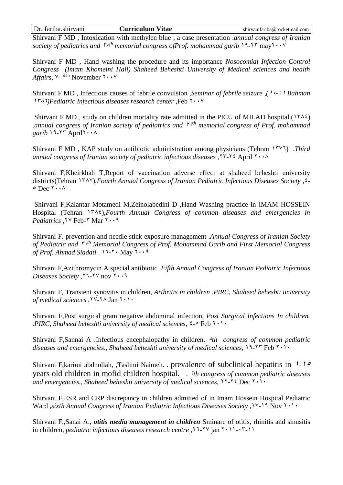Shirvani F MD , Intoxication with methylen blue , a case presentation .*annual congress of Iranian*  society of pediatrics and <sup>YAth</sup> memorial congress ofProf. mohammad garib 19-Y<sup>T</sup> may<sup>Y</sup>  $\cdots$ <sup>V</sup>

Shirvani F MD , Hand washing the procedure and its importance *Nosocomial Infection Control Congress (Imam Khomeini Hall) Shaheed Beheshti University of Medical sciences and health*  Affairs, <sup>V</sup>- <sup>9th</sup> November <sup>۲</sup> · · <sup>v</sup>

Shirvani F MD , Infectious causes of febrile convulsion ,*Seminar of febrile seizure ,(*15*-*<sup>11</sup> *Bahman*  1*TA*7)*Pediatric Infectious diseases research center* ,Feb  $\cdots$ 

Shirvani F MD, study on children mortality rate admitted in the PICU of MILAD hospital.(1742) .*annual congress of Iranian society of pediatrics and* <sup>19</sup> *th memorial congress of Prof. mohammad garib*  $19-17$  April $1 \cdot \cdot \cdot$ 

Shirvani F MD , KAP study on antibiotic administration among physicians (Tehran 1731) .*Third annual congress of Iranian society of pediatric infectious diseases* ,17-11 April 1559

Shirvani F,Kheirkhah T,Report of vaccination adverse effect at shaheed beheshti university districts(Tehran 1<sup>933</sup>),*Fourth Annual Congress of Iranian Pediatric Infectious Diseases Society*,  $\circ$  Dec  $\cdot \cdot \cdot \wedge$ 

Shirvani F,Kalantar Motamedi M,Zeinolabedini D ,Hand Washing practice in IMAM HOSSEIN Hospital (Tehran 1<sup>r</sup> $\lambda$ <sup>2</sup>),*Fourth Annual Congress of common diseases and emergencies in* Pediatrics ,  $\forall$  Feb- $\forall$  Mar  $\forall \cdot \cdot \forall$ 

Shirvani F. prevention and needle stick exposure management .*Annual Congress of Iranian Society*  of Pediatric and  $\ddot{r} \cdot$ <sup>th</sup> Memorial Congress of Prof. Mohammad Garib and First Memorial Congress of Prof. Ahmad Siadati. 11-1 May 1.19

Shirvani F,Azithromycin A special antibiotic ,*Fifth Annual Congress of Iranian Pediatric Infectious Diseases Society*,  $11 - 11$  nov  $1 \cdot 1$ 

Shirvani F, Transient synovitis in children, *Arthritis in children .PIRC, Shaheed beheshti university*  of medical sciences<sup>, ۲۷</sup>-۲۸ Jan ۲۰۱۰

Shirvani F,Post surgical gram negative abdominal infection, *Post Surgical Infections In children. .PIRC, Shaheed beheshti university of medical sciences,*  $2 - 5$  Feb  $1 + 5$ 

Shirvani F,Sannai A .Infectious encephalopathy in children. 5*th congress of common pediatric diseases and emergencies., Shaheed beheshti university of medical sciences,*  $19-17$  Feb  $1.1.$ 

Shirvani F,karimi abdnollah, ,Taslimi Naimeh. . prevalence of subclinical hepatitis in **0**-**<sup>01</sup>** years old children in mofid children hospital. . 1*th congress of common pediatric diseases*  and emergencies., Shaheed beheshti university of medical sciences,  $YY - YZ$  Dec  $Y \cdot YZ$ 

Shirvani F,ESR and CRP discrepancy in children admitted of in Imam Hossein Hospital Pediatric Ward ,*sixth Annual Congress of Iranian Pediatric Infectious Diseases Society* ,13-19 Nov 1515

Shirvani F.,Sanai A., *otitis media management in children* Sminare of otitis, rhinitis and sinusitis in children, *pediatric infectious diseases research centre ,*11-13 jan 1511-57-11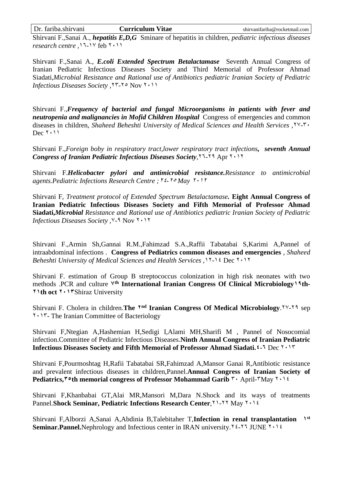Shirvani F.,Sanai A., *hepatitis E,D,G* Sminare of hepatitis in children, *pediatric infectious diseases research centre*, 11-14 feb 1.11

Shirvani F.,Sanai A., *E.coli Extended Spectrum Betalactamase* Seventh Annual Congress of Iranian Pediatric Infectious Diseases Society and Third Memorial of Professor Ahmad Siadati,*Microbial Resistance and Rational use of Antibiotics pediatric Iranian Society of Pediatric Infectious Diseases Society* , 77-10 Nov 1611

Shirvani F.,*Frequency of bacterial and fungal Microorganisms in patients with fever and neutropenia and malignancies in Mofid Children Hospital* Congress of emergencies and common diseases in children, *Shaheed Beheshti University of Medical Sciences and Health Services ,*13-75  $Dec 7 \cdot 11$ 

Shirvani F.,*Foreign boby in respiratory tract,lower respiratory tract infections, seventh Annual Congress of Iranian Pediatric Infectious Diseases Society,*<sup>11</sup>-19 Apr  $1.11$ 

Shirvani F.*Helicobacter pylori and antimicrobial resistance.Resistance to antimicrobial agents.Pediatric Infections Research Centre ; 12-10 May 1.11* 

Shirvani F, *Treatment protocol of Extended Spectrum Betalactamase.* **Eight Annual Congress of Iranian Pediatric Infectious Diseases Society and Fifth Memorial of Professor Ahmad Siadati,***Microbial Resistance and Rational use of Antibiotics pediatric Iranian Society of Pediatric Infectious Diseases Society*, <sup> $\frac{1}{2}$ </sup> Nov  $\frac{1}{2}$ 

Shirvani F.,Armin Sh,Gannai R.M.,Fahimzad S.A.,Raffii Tabatabai S,Karimi A,Pannel of intraabdominal infections *.* **Congress of Pediatrics common diseases and emergencies** , *Shaheed Beheshti University of Medical Sciences and Health Services, 11-11 Dec 1111* 

Shirvani F. estimation of Group B streptococcus colonization in high risk neonates with two methods .PCR and culture V<sup>th</sup> International Iranian Congress Of Clinical Microbiology \ <sup>q</sup> th-**100th oct 1.17Shiraz University** 

Shirvani F. Cholera in children. The *Ind* Iranian Congress Of Medical Microbiology. 11-19 sep 1517- The Iranian Committee of Bacteriology

Shirvani F,Ntegian A,Hashemian H,Sedigi I,Alami MH,Sharifi M , Pannel of Nosocomial infection.Committee of Pediatric Infectious Diseases.**Ninth Annual Congress of Iranian Pediatric Infectious Diseases Society and Fifth Memorial of Professor Ahmad Siadati.**  $4 - 1$  **Dec**  $1 + 17$ 

Shirvani F,Pourmoshtag H,Rafii Tabatabai SR,Fahimzad A,Mansor Ganai R,Antibiotic resistance and prevalent infectious diseases in children,Pannel.**Annual Congress of Iranian Society of Pediatrics,<sup>** $\mathbf{v} \cdot \mathbf{h}$  **memorial congress of Professor Mohammad Garib**  $\mathbf{v} \cdot \mathbf{A}$ pril- $\mathbf{v}$ May  $\mathbf{v} \cdot \mathbf{h}$ </sup>

Shirvani F,Khanbabai GT,Alai MR,Mansori M,Dara N.Shock and its ways of treatments Pannel.**Shock Seminar, Pediatric Infections Research Center**, 11-11 May 1611

Shirvani F,Alborzi A,Sanai A,Abdinia B,Talebitaher T,**Infection in renal transplantation 0 st Seminar.Pannel.**Nephrology and Infectious center in IRAN university.<sup>12-17</sup> JUNE  $1 \cdot 12$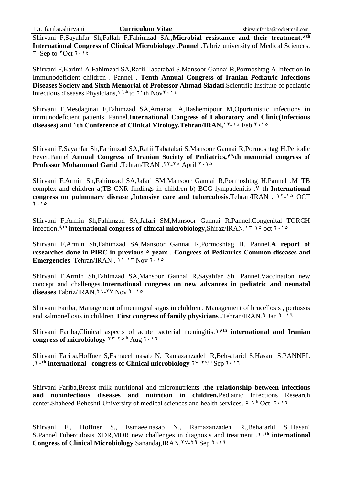Shirvani F,Sayahfar Sh,Fallah F,Fahimzad SA.,Microbial resistance and their treatment.<sup>^th</sup> **International Congress of Clinical Microbiology .Pannel** .Tabriz university of Medical Sciences.  $\mathbf{r} \cdot \mathbf{Sep}$  to  $\mathbf{7Oct}$   $\mathbf{7.12}$ 

Shirvani F,Karimi A,Fahimzad SA,Rafii Tabatabai S,Mansoor Gannai R,Pormoshtag A,Infection in Immunodeficient children . Pannel . **Tenth Annual Congress of Iranian Pediatric Infectious Diseases Society and Sixth Memorial of Professor Ahmad Siadati**.Scientific Institute of pediatric infectious diseases Physicians,<sup>19th</sup> to  $11th$  Nov $11$ <sup>t</sup>

Shirvani F,Mesdaginai F,Fahimzad SA,Amanati A,Hashemipour M,Oportunistic infections in immunodeficient patients. Pannel.**International Congress of Laboratory and Clinic(Infectious**  diseases) and <sup>1</sup>th Conference of Clinical Virology.Tehran/IRAN,<sup>11-11</sup> Feb  $1.15$ 

Shirvani F,Sayahfar Sh,Fahimzad SA,Rafii Tabatabai S,Mansoor Gannai R,Pormoshtag H.Periodic Fever.Pannel **Annual Congress of Iranian Society of Pediatrics,26th memorial congress of**  Professor Mohammad Garid .Tehran/IRAN . 11-10 April 1516

Shirvani F,Armin Sh,Fahimzad SA,Jafari SM,Mansoor Gannai R,Pormoshtag H.Pannel .M TB complex and children a)TB CXR findings in children b) BCG lympadenitis .**7 th International congress on pulmonary disease ,Intensive care and tuberculosis.Tehran/IRAN . 11-10 OCT** 1.10

Shirvani F,Armin Sh,Fahimzad SA,Jafari SM,Mansoor Gannai R,Pannel.Congenital TORCH infection.<sup>9</sup><sup>th</sup> international congress of clinical microbiology,Shiraz/IRAN.1<sup>۳</sup>-10 oct <sup>1</sup> · 10

Shirvani F,Armin Sh,Fahimzad SA,Mansoor Gannai R,Pormoshtag H. Pannel.**A report of**  researches done in PIRC in previous  $\circ$  years . Congress of Pediatrics Common diseases and **Emergencies** Tehran/IRAN .  $11 - 17$  Nov  $110$ 

Shirvani F,Armin Sh,Fahimzad SA,Mansoor Gannai R,Sayahfar Sh. Pannel.Vaccination new concept and challenges.**International congress on new advances in pediatric and neonatal**  diseases.Tabriz/IRAN.YJ-YV Nov Yolo

Shirvani Fariba, Management of meningeal signs in children , Management of brucellosis , pertussis and salmonellosis in children, **First congress of family physicians**. Tehran/IRAN.<sup>9</sup> Jan  $Y \cdot Y$ 

Shirvani Fariba,Clinical aspects of acute bacterial meningitis.**07th international and Iranian congress of microbiology**  $\forall$   $\forall$ - $\forall$ <sup>oth</sup> Aug  $\forall$   $\cdot$   $\land$   $\forall$ 

Shirvani Fariba,Hoffner S,Esmaeel nasab N, Ramazanzadeh R,Beh-afarid S,Hasani S.PANNEL 1.1<sup>th</sup> international congress of Clinical microbiology<sup>{Y\-Y{th}</sup> Sep <sup>Y+1}</sup>

Shirvani Fariba,Breast milk nutritional and micronutrients .**the relationship between infectious and noninfectious diseases and nutrition in children.**Pediatric Infections Research center. Shaheed Beheshti University of medical sciences and health services.  $0 - 1$ <sup>th</sup> Oct  $111$ 

Shirvani F., Hoffner S., Esmaeelnasab N., Ramazanzadeh R.,Behafarid S.,Hasani S.Pannel.Tuberculosis XDR,MDR new challenges in diagnosis and treatment .**01th international Congress of Clinical Microbiology** Sanandaj, IRAN, YV-Y9 Sep You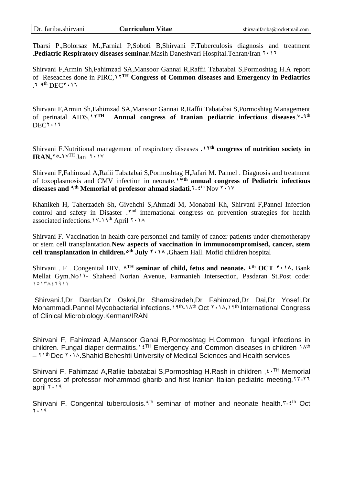|  | Dr. fariba.shirvani |  |
|--|---------------------|--|
|  |                     |  |

Tbarsi P.,Bolorsaz M.,Farnial P,Soboti B,Shirvani F.Tuberculosis diagnosis and treatment .**Pediatric Respiratory diseases seminar**.Masih Daneshvari Hospital.Tehran/Iran 1511

Shirvani F,Armin Sh,Fahimzad SA,Mansoor Gannai R,Raffii Tabatabai S,Pormoshtag H.A report of Reseaches done in PIRC,**00TH Congress of Common diseases and Emergency in Pediatrics**  $1-9$ <sup>th</sup> DEC<sup> $\gamma$ </sup>  $\cdot$   $\gamma$ <sub>1</sub>

Shirvani F,Armin Sh,Fahimzad SA,Mansoor Gannai R,Raffii Tabatabai S,Pormoshtag Management of perinatal AIDS,  $V^{TH}$  Annual congress of Iranian pediatric infectious diseases.  $V_1 \text{th}$ of perinatal AIDS,<sup>11</sup><sup>TH</sup> Annual congress of Iranian pediatric infectious diseases.<sup>1</sup>-<sup>9th</sup>  $DECY \cdot 17$ 

Shirvani F.Nutritional management of respiratory diseases .**00th congress of nutrition society in IRAN, YO\_YVTH** Jan Y. 1V

Shirvani F,Fahimzad A,Rafii Tabatabai S,Pormoshtag H,Jafari M. Pannel . Diagnosis and treatment of toxoplasmosis and CMV infection in neonate.<sup>1\*th</sup> **annual congress of Pediatric infectious** diseases and <sup>qth</sup> Memorial of professor ahmad siadati. Y-2<sup>th</sup> Nov Y . 1 Y

Khanikeh H, Taherzadeh Sh, Givehchi S,Ahmadi M, Monabati Kh, Shirvani F,Pannel Infection control and safety in Disaster . Y<sup>nd</sup> international congress on prevention strategies for health associated infections.<sup>11</sup>-19<sup>th</sup> April  $1.14$ 

Shirvani F. Vaccination in health care personnel and family of cancer patients under chemotherapy or stem cell transplantation.**New aspects of vaccination in immunocompromised, cancer, stem cell transplantation in children.1 th July 0109 .**Ghaem Hall. Mofid children hospital

Shirvani . F . Congenital HIV.  $\lambda^{TH}$  **seminar of child, fetus and neonate.**  $f^{th}$  **OCT**  $\lambda \cdot \lambda$ **. Bank** Mellat Gym.No11- Shaheed Norian Avenue, Farmanieh Intersection, Pasdaran St.Post code: 1916447511

Shirvani.f,Dr Dardan,Dr Oskoi,Dr Shamsizadeh,Dr Fahimzad,Dr Dai,Dr Yosefi,Dr Mohammadi. Pannel Mycobacterial infections. 19<sup>th</sup>-14<sup>th</sup> Oct **Y** · 14, 19th International Congress of Clinical Microbiology.Kerman/IRAN

Shirvani F, Fahimzad A,Mansoor Ganai R,Pormoshtag H.Common fungal infections in children. Fungal diaper dermatitis.<sup>1 {TH</sup> Emergency and Common diseases in children 14th  $\frac{1}{10}$  Dec  $\frac{1}{10}$ . Shahid Beheshti University of Medical Sciences and Health services

Shirvani F, Fahimzad A,Rafiie tabatabai S,Pormoshtag H.Rash in children,  $f \cdot TH$  Memorial congress of professor mohammad gharib and first Iranian Italian pediatric meeting.<sup>YY-YY</sup> april  $1.11$ 

Shirvani F. Congenital tuberculosis.<sup>9th</sup> seminar of mother and neonate health.<sup>r-2th</sup> Oct 7.19